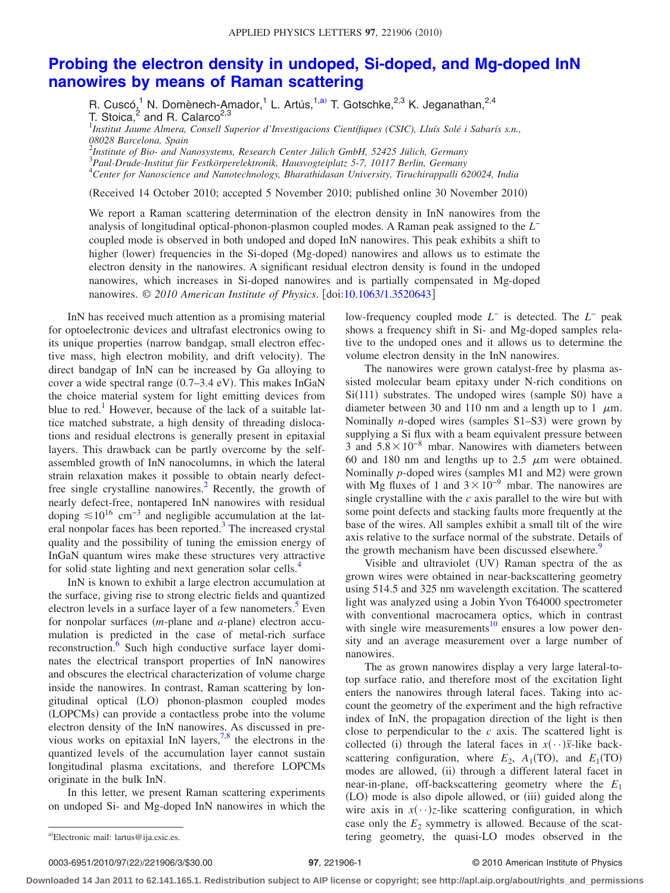## **[Probing the electron density in undoped, Si-doped, and Mg-doped InN](http://dx.doi.org/10.1063/1.3520643) [nanowires by means of Raman scattering](http://dx.doi.org/10.1063/1.3520643)**

R. Cuscó,<sup>1</sup> N. Domènech-Amador,<sup>1</sup> L. Artús,<sup>1[,a](#page-0-0))</sup> T. Gotschke,<sup>2,3</sup> K. Jeganathan,<sup>2,4</sup> T. Stoica, $^2$  and R. Calarco $^{2,3}$ 

1 *Institut Jaume Almera, Consell Superior d'Investigacions Científiques (CSIC), Lluís Solé i Sabarís s.n., 08028 Barcelona, Spain*

2 *Institute of Bio- and Nanosystems, Research Center Jülich GmbH, 52425 Jülich, Germany*

3 *Paul-Drude-Institut für Festkörperelektronik, Hausvogteiplatz 5-7, 10117 Berlin, Germany*

4 *Center for Nanoscience and Nanotechnology, Bharathidasan University, Tiruchirappalli 620024, India*

(Received 14 October 2010; accepted 5 November 2010; published online 30 November 2010)

We report a Raman scattering determination of the electron density in InN nanowires from the analysis of longitudinal optical-phonon-plasmon coupled modes. A Raman peak assigned to the *L*<sup>−</sup> coupled mode is observed in both undoped and doped InN nanowires. This peak exhibits a shift to higher (lower) frequencies in the Si-doped (Mg-doped) nanowires and allows us to estimate the electron density in the nanowires. A significant residual electron density is found in the undoped nanowires, which increases in Si-doped nanowires and is partially compensated in Mg-doped nanowires. © 2010 American Institute of Physics. [doi[:10.1063/1.3520643](http://dx.doi.org/10.1063/1.3520643)]

InN has received much attention as a promising material for optoelectronic devices and ultrafast electronics owing to its unique properties (narrow bandgap, small electron effective mass, high electron mobility, and drift velocity). The direct bandgap of InN can be increased by Ga alloying to cover a wide spectral range (0.7–3.4 eV). This makes InGaN the choice material system for light emitting devices from blue to red.<sup>1</sup> However, because of the lack of a suitable lattice matched substrate, a high density of threading dislocations and residual electrons is generally present in epitaxial layers. This drawback can be partly overcome by the selfassembled growth of InN nanocolumns, in which the lateral strain relaxation makes it possible to obtain nearly defectfree single crystalline nanowires.<sup>2</sup> Recently, the growth of nearly defect-free, nontapered InN nanowires with residual doping  $\leq 10^{16}$  cm<sup>-3</sup> and negligible accumulation at the lateral nonpolar faces has been reported. $3$  The increased crystal quality and the possibility of tuning the emission energy of InGaN quantum wires make these structures very attractive for solid state lighting and next generation solar cells.<sup>4</sup>

InN is known to exhibit a large electron accumulation at the surface, giving rise to strong electric fields and quantized electron levels in a surface layer of a few nanometers.<sup>5</sup> Even for nonpolar surfaces (*m*-plane and *a*-plane) electron accumulation is predicted in the case of metal-rich surface reconstruction.<sup>6</sup> Such high conductive surface layer dominates the electrical transport properties of InN nanowires and obscures the electrical characterization of volume charge inside the nanowires. In contrast, Raman scattering by longitudinal optical (LO) phonon-plasmon coupled modes (LOPCMs) can provide a contactless probe into the volume electron density of the InN nanowires. As discussed in previous works on epitaxial InN layers,  $7.8$  $7.8$  the electrons in the quantized levels of the accumulation layer cannot sustain longitudinal plasma excitations, and therefore LOPCMs originate in the bulk InN.

<span id="page-0-0"></span>In this letter, we present Raman scattering experiments on undoped Si- and Mg-doped InN nanowires in which the

low-frequency coupled mode *L*<sup>−</sup> is detected. The *L*<sup>−</sup> peak shows a frequency shift in Si- and Mg-doped samples relative to the undoped ones and it allows us to determine the volume electron density in the InN nanowires.

The nanowires were grown catalyst-free by plasma assisted molecular beam epitaxy under N-rich conditions on Si(111) substrates. The undoped wires (sample S0) have a diameter between 30 and 110 nm and a length up to 1  $\mu$ m. Nominally *n*-doped wires (samples S1–S3) were grown by supplying a Si flux with a beam equivalent pressure between 3 and  $5.8\times10^{-8}$  mbar. Nanowires with diameters between 60 and 180 nm and lengths up to 2.5  $\mu$ m were obtained. Nominally *p*-doped wires (samples M1 and M2) were grown with Mg fluxes of 1 and  $3 \times 10^{-9}$  mbar. The nanowires are single crystalline with the *c* axis parallel to the wire but with some point defects and stacking faults more frequently at the base of the wires. All samples exhibit a small tilt of the wire axis relative to the surface normal of the substrate. Details of the growth mechanism have been discussed elsewhere.<sup>9</sup>

Visible and ultraviolet (UV) Raman spectra of the as grown wires were obtained in near-backscattering geometry using 514.5 and 325 nm wavelength excitation. The scattered light was analyzed using a Jobin Yvon T64000 spectrometer with conventional macrocamera optics, which in contrast with single wire measurements<sup>10</sup> ensures a low power density and an average measurement over a large number of nanowires.

The as grown nanowires display a very large lateral-totop surface ratio, and therefore most of the excitation light enters the nanowires through lateral faces. Taking into account the geometry of the experiment and the high refractive index of InN, the propagation direction of the light is then close to perpendicular to the *c* axis. The scattered light is collected (i) through the lateral faces in  $x(\cdot)$ *x*-like backscattering configuration, where  $E_2$ ,  $A_1$ (TO), and  $E_1$ (TO) modes are allowed, (ii) through a different lateral facet in near-in-plane, off-backscattering geometry where the *E*<sup>1</sup> (LO) mode is also dipole allowed, or (iii) guided along the wire axis in  $x(\cdot)$ *z*-like scattering configuration, in which case only the  $E_2$  symmetry is allowed. Because of the scattering geometry, the quasi-LO modes observed in the

0003-6951/2010/97(22)/221906/3/\$30.00

## /221906/3/\$30.00 © 2010 American Institute of Physics **97**, 221906-1

**Downloaded 14 Jan 2011 to 62.141.165.1. Redistribution subject to AIP license or copyright; see http://apl.aip.org/about/rights\_and\_permissions**

a)Electronic mail: lartus@ija.csic.es.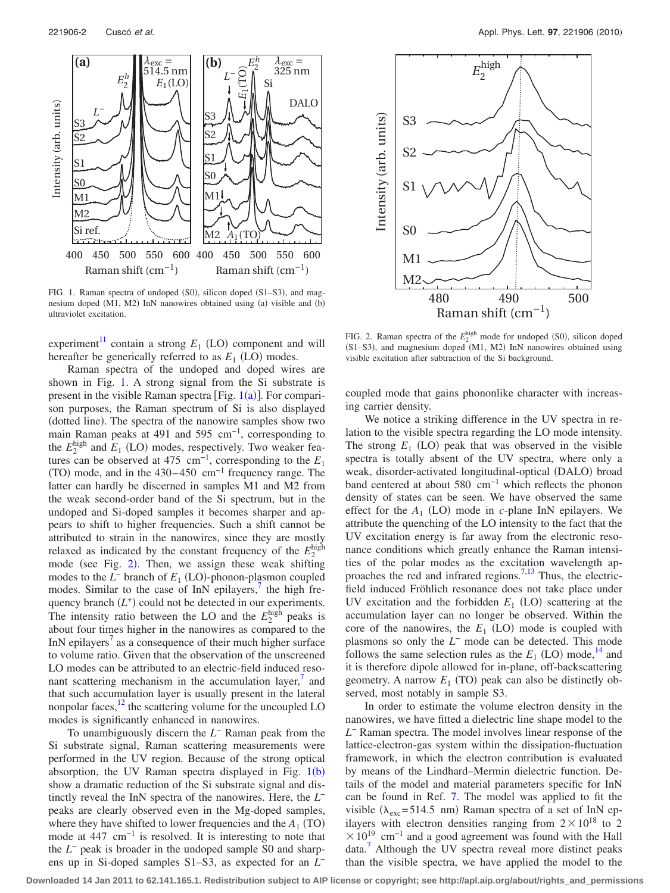<span id="page-1-0"></span>

FIG. 1. Raman spectra of undoped (S0), silicon doped (S1-S3), and magnesium doped (M1, M2) InN nanowires obtained using (a) visible and (b) ultraviolet excitation.

 $experiment<sup>11</sup> contain a strong  $E_1$  (LO) component and will$ hereafter be generically referred to as  $E_1$  (LO) modes.

Raman spectra of the undoped and doped wires are shown in Fig. [1.](#page-1-0) A strong signal from the Si substrate is present in the visible Raman spectra [Fig.  $1(a)$  $1(a)$ ]. For comparison purposes, the Raman spectrum of Si is also displayed (dotted line). The spectra of the nanowire samples show two main Raman peaks at 491 and 595 cm<sup>-1</sup>, corresponding to the  $E_2^{\text{high}}$  and  $E_1$  (LO) modes, respectively. Two weaker features can be observed at 475 cm<sup>-1</sup>, corresponding to the  $E_1$ (TO) mode, and in the  $430-450$  cm<sup>-1</sup> frequency range. The latter can hardly be discerned in samples M1 and M2 from the weak second-order band of the Si spectrum, but in the undoped and Si-doped samples it becomes sharper and appears to shift to higher frequencies. Such a shift cannot be attributed to strain in the nanowires, since they are mostly relaxed as indicated by the constant frequency of the  $E_2^{\text{high}}$ mode (see Fig. [2](#page-1-1)). Then, we assign these weak shifting modes to the  $L^-$  branch of  $E_1$  (LO)-phonon-plasmon coupled modes. Similar to the case of InN epilayers, $\frac{7}{1}$  the high frequency branch  $(L<sup>+</sup>)$  could not be detected in our experiments. The intensity ratio between the LO and the  $E_2^{\text{high}}$  peaks is about four times higher in the nanowires as compared to the InN epilayers<sup> $\prime$ </sup> as a consequence of their much higher surface to volume ratio. Given that the observation of the unscreened LO modes can be attributed to an electric-field induced resonant scattering mechanism in the accumulation layer,<sup>1</sup> and that such accumulation layer is usually present in the lateral nonpolar faces, $12$  the scattering volume for the uncoupled LO modes is significantly enhanced in nanowires.

To unambiguously discern the *L*<sup>−</sup> Raman peak from the Si substrate signal, Raman scattering measurements were performed in the UV region. Because of the strong optical absorption, the UV Raman spectra displayed in Fig.  $1(b)$  $1(b)$ show a dramatic reduction of the Si substrate signal and distinctly reveal the InN spectra of the nanowires. Here, the *L*<sup>−</sup> peaks are clearly observed even in the Mg-doped samples, where they have shifted to lower frequencies and the  $A_1$  (TO) mode at 447 cm−1 is resolved. It is interesting to note that the *L*<sup>−</sup> peak is broader in the undoped sample S0 and sharpens up in Si-doped samples S1–S3, as expected for an *L*<sup>−</sup>

<span id="page-1-1"></span>

FIG. 2. Raman spectra of the  $E_2^{\text{high}}$  mode for undoped (S0), silicon doped (S1-S3), and magnesium doped (M1, M2) InN nanowires obtained using visible excitation after subtraction of the Si background.

coupled mode that gains phononlike character with increasing carrier density.

We notice a striking difference in the UV spectra in relation to the visible spectra regarding the LO mode intensity. The strong  $E_1$  (LO) peak that was observed in the visible spectra is totally absent of the UV spectra, where only a weak, disorder-activated longitudinal-optical (DALO) broad band centered at about 580 cm−1 which reflects the phonon density of states can be seen. We have observed the same effect for the  $A_1$  (LO) mode in *c*-plane InN epilayers. We attribute the quenching of the LO intensity to the fact that the UV excitation energy is far away from the electronic resonance conditions which greatly enhance the Raman intensities of the polar modes as the excitation wavelength ap-proaches the red and infrared regions.<sup>7[,13](#page-2-12)</sup> Thus, the electricfield induced Fröhlich resonance does not take place under UV excitation and the forbidden  $E_1$  (LO) scattering at the accumulation layer can no longer be observed. Within the core of the nanowires, the  $E_1$  (LO) mode is coupled with plasmons so only the *L*<sup>−</sup> mode can be detected. This mode follows the same selection rules as the  $E_1$  (LO) mode,<sup>14</sup> and it is therefore dipole allowed for in-plane, off-backscattering geometry. A narrow  $E_1$  (TO) peak can also be distinctly observed, most notably in sample S3.

In order to estimate the volume electron density in the nanowires, we have fitted a dielectric line shape model to the *L*<sup>−</sup> Raman spectra. The model involves linear response of the lattice-electron-gas system within the dissipation-fluctuation framework, in which the electron contribution is evaluated by means of the Lindhard–Mermin dielectric function. Details of the model and material parameters specific for InN can be found in Ref. [7.](#page-2-6) The model was applied to fit the visible ( $\lambda_{\text{exc}}$ =514.5 nm) Raman spectra of a set of InN epilayers with electron densities ranging from  $2 \times 10^{18}$  to 2  $\times 10^{19}$  cm<sup>-1</sup> and a good agreement was found with the Hall data.<sup>7</sup> Although the UV spectra reveal more distinct peaks than the visible spectra, we have applied the model to the

**Downloaded 14 Jan 2011 to 62.141.165.1. Redistribution subject to AIP license or copyright; see http://apl.aip.org/about/rights\_and\_permissions**